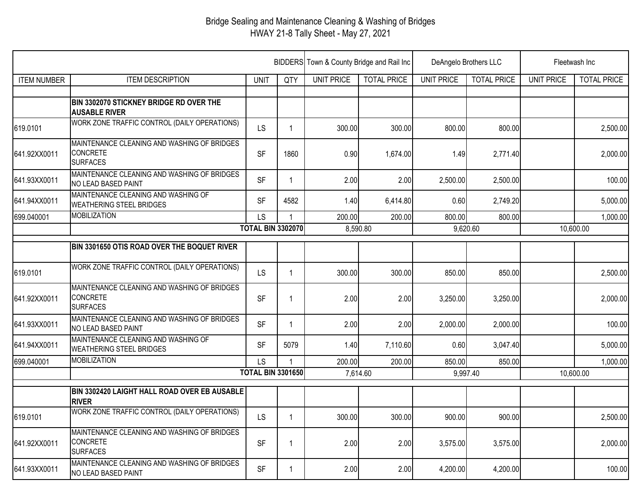## Bridge Sealing and Maintenance Cleaning & Washing of Bridges HWAY 21-8 Tally Sheet - May 27, 2021

|                    |                                                                                   |                          |              | BIDDERS Town & County Bridge and Rail Inc |                    | DeAngelo Brothers LLC |                    | Fleetwash Inc     |                    |
|--------------------|-----------------------------------------------------------------------------------|--------------------------|--------------|-------------------------------------------|--------------------|-----------------------|--------------------|-------------------|--------------------|
| <b>ITEM NUMBER</b> | <b>ITEM DESCRIPTION</b>                                                           | <b>UNIT</b>              | QTY          | <b>UNIT PRICE</b>                         | <b>TOTAL PRICE</b> | <b>UNIT PRICE</b>     | <b>TOTAL PRICE</b> | <b>UNIT PRICE</b> | <b>TOTAL PRICE</b> |
|                    |                                                                                   |                          |              |                                           |                    |                       |                    |                   |                    |
|                    | BIN 3302070 STICKNEY BRIDGE RD OVER THE<br><b>AUSABLE RIVER</b>                   |                          |              |                                           |                    |                       |                    |                   |                    |
| 619.0101           | WORK ZONE TRAFFIC CONTROL (DAILY OPERATIONS)                                      | <b>LS</b>                | -1           | 300.00                                    | 300.00             | 800.00                | 800.00             |                   | 2,500.00           |
| 641.92XX0011       | MAINTENANCE CLEANING AND WASHING OF BRIDGES<br><b>CONCRETE</b><br><b>SURFACES</b> | <b>SF</b>                | 1860         | 0.90                                      | 1,674.00           | 1.49                  | 2,771.40           |                   | 2,000.00           |
| 641.93XX0011       | MAINTENANCE CLEANING AND WASHING OF BRIDGES<br>NO LEAD BASED PAINT                | <b>SF</b>                | -1           | 2.00                                      | 2.00               | 2,500.00              | 2,500.00           |                   | 100.00             |
| 641.94XX0011       | MAINTENANCE CLEANING AND WASHING OF<br><b>WEATHERING STEEL BRIDGES</b>            | <b>SF</b>                | 4582         | 1.40                                      | 6,414.80           | 0.60                  | 2,749.20           |                   | 5,000.00           |
| 699.040001         | <b>MOBILIZATION</b>                                                               | LS                       |              | 200.00                                    | 200.00             | 800.00                | 800.00             |                   | 1,000.00           |
|                    |                                                                                   | <b>TOTAL BIN 3302070</b> |              | 8,590.80                                  |                    | 9,620.60              |                    | 10,600.00         |                    |
|                    | BIN 3301650 OTIS ROAD OVER THE BOQUET RIVER                                       |                          |              |                                           |                    |                       |                    |                   |                    |
| 619.0101           | WORK ZONE TRAFFIC CONTROL (DAILY OPERATIONS)                                      | <b>LS</b>                | $\mathbf{1}$ | 300.00                                    | 300.00             | 850.00                | 850.00             |                   | 2,500.00           |
| 641.92XX0011       | MAINTENANCE CLEANING AND WASHING OF BRIDGES<br><b>CONCRETE</b><br><b>SURFACES</b> | <b>SF</b>                |              | 2.00                                      | 2.00               | 3,250.00              | 3,250.00           |                   | 2,000.00           |
| 641.93XX0011       | MAINTENANCE CLEANING AND WASHING OF BRIDGES<br>NO LEAD BASED PAINT                | <b>SF</b>                |              | 2.00                                      | 2.00               | 2,000.00              | 2,000.00           |                   | 100.00             |
| 641.94XX0011       | MAINTENANCE CLEANING AND WASHING OF<br><b>WEATHERING STEEL BRIDGES</b>            | <b>SF</b>                | 5079         | 1.40                                      | 7,110.60           | 0.60                  | 3,047.40           |                   | 5,000.00           |
| 699.040001         | <b>MOBILIZATION</b>                                                               | <b>LS</b>                |              | 200.00                                    | 200.00             | 850.00                | 850.00             |                   | 1,000.00           |
|                    |                                                                                   | <b>TOTAL BIN 3301650</b> |              | 7,614.60                                  |                    | 9,997.40              |                    | 10,600.00         |                    |
|                    | BIN 3302420 LAIGHT HALL ROAD OVER EB AUSABLE<br><b>RIVER</b>                      |                          |              |                                           |                    |                       |                    |                   |                    |
| 619.0101           | WORK ZONE TRAFFIC CONTROL (DAILY OPERATIONS)                                      | LS                       |              | 300.00                                    | 300.00             | 900.00                | 900.00             |                   | 2,500.00           |
| 641.92XX0011       | MAINTENANCE CLEANING AND WASHING OF BRIDGES<br><b>CONCRETE</b><br><b>SURFACES</b> | <b>SF</b>                |              | 2.00                                      | 2.00               | 3,575.00              | 3,575.00           |                   | 2,000.00           |
| 641.93XX0011       | MAINTENANCE CLEANING AND WASHING OF BRIDGES<br>NO LEAD BASED PAINT                | <b>SF</b>                | -1           | 2.00                                      | 2.00               | 4,200.00              | 4,200.00           |                   | 100.00             |